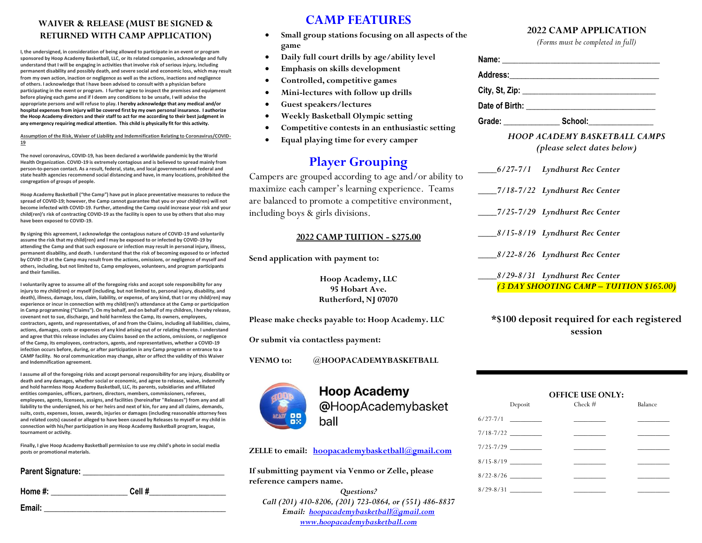### **WAIVER & RELEASE (MUST BE SIGNED & RETURNED WITH CAMP APPLICATION)**

**I, the undersigned, in consideration of being allowed to participate in an event or program sponsored by Hoop Academy Basketball, LLC, or its related companies, acknowledge and fully understand that I will be engaging in activities that involve risk of serious injury, including permanent disability and possibly death, and severe social and economic loss, which may result from my own action, inaction or negligence as well as the actions, inactions and negligence of others. I acknowledge that I have been advised to consult with a physician before participating in the event or program. I further agree to inspect the premises and equipment before playing each game and if I deem any conditions to be unsafe, I will advise the appropriate persons and will refuse to play. I hereby acknowledge that any medical and/or hospital expenses from injury will be covered first by my own personal insurance. I authorize the Hoop Academy directors and their staff to act for me according to their best judgment in any emergency requiring medical attention. This child is physically fit for this activity.** 

**Assumption of the Risk, Waiver of Liability and Indemnification Relating to Coronavirus/COVID-19**

**The novel coronavirus, COVID-19, has been declared a worldwide pandemic by the World Health Organization. COVID-19 is extremely contagious and is believed to spread mainly from person-to-person contact. As a result, federal, state, and local governments and federal and state health agencies recommend social distancing and have, in many locations, prohibited the congregation of groups of people.**

**Hoop Academy Basketball ("the Camp") have put in place preventative measures to reduce the spread of COVID-19; however, the Camp cannot guarantee that you or your child(ren) will not become infected with COVID-19. Further, attending the Camp could increase your risk and your child(ren)'s risk of contracting COVID-19 as the facility is open to use by others that also may have been exposed to COVID-19.**

**By signing this agreement, I acknowledge the contagious nature of COVID-19 and voluntarily assume the risk that my child(ren) and I may be exposed to or infected by COVID-19 by attending the Camp and that such exposure or infection may result in personal injury, illness, permanent disability, and death. I understand that the risk of becoming exposed to or infected by COVID-19 at the Camp may result from the actions, omissions, or negligence of myself and others, including, but not limited to, Camp employees, volunteers, and program participants and their families.**

**I voluntarily agree to assume all of the foregoing risks and accept sole responsibility for any injury to my child(ren) or myself (including, but not limited to, personal injury, disability, and death), illness, damage, loss, claim, liability, or expense, of any kind, that I or my child(ren) may experience or incur in connection with my child(ren)'s attendance at the Camp or participation in Camp programming ("Claims"). On my behalf, and on behalf of my children, I hereby release, covenant not to sue, discharge, and hold harmless the Camp, its owners, employees, contractors, agents, and representatives, of and from the Claims, including all liabilities, claims, actions, damages, costs or expenses of any kind arising out of or relating thereto. I understand and agree that this release includes any Claims based on the actions, omissions, or negligence of the Camp, its employees, contractors, agents, and representatives, whether a COVID-19 infection occurs before, during, or after participation in any Camp program or entrance to a CAMP facility. No oral communication may change, alter or affect the validity of this Waiver and Indemnification agreement.**

**I assume all of the foregoing risks and accept personal responsibility for any injury, disability or death and any damages, whether social or economic, and agree to release, waive, indemnify and hold harmless Hoop Academy Basketball, LLC, its parents, subsidiaries and affiliated entities companies, officers, partners, directors, members, commissioners, referees, employees, agents, licensees, assigns, and facilities (hereinafter "Releases") from any and all liability to the undersigned, his or her heirs and next of kin, for any and all claims, demands, suits, costs, expenses, losses, awards, injuries or damages (including reasonable attorney fees and related costs) caused or alleged to have been caused by Releases to myself or my child in connection with his/her participation in any Hoop Academy Basketball program, league, tournament or activity.**

**Finally, I give Hoop Academy Basketball permission to use my child's photo in social media posts or promotional materials.**

| Parent Signature: |       |  |
|-------------------|-------|--|
| Home #:           | Cell# |  |
| Email:            |       |  |

# **CAMP FEATURES**

- **Small group stations focusing on all aspects of the game**
- **Daily full court drills by age/ability level**
- **Emphasis on skills development**
- **Controlled, competitive games**
- **Mini-lectures with follow up drills**
- **Guest speakers/lectures**
- **Weekly Basketball Olympic setting**
- **Competitive contests in an enthusiastic setting**
- **Equal playing time for every camper**

# **Player Grouping**

Campers are grouped according to age and/or ability to maximize each camper's learning experience. Teams are balanced to promote a competitive environment, including boys & girls divisions.

#### **2022 CAMP TUITION - \$275.00**

**Send application with payment to:**

**Hoop Academy, LLC 95 Hobart Ave. Rutherford, NJ 07070**

**Please make checks payable to: Hoop Academy. LLC**

**Or submit via contactless payment:**

**VENMO to: @HOOPACADEMYBASKETBALL** 

## **Hoop Academy** @HoopAcademybasket ball

**ZELLE to email: [hoopacademybasketball@gmail.com](mailto:hoopacademybasketball@gmail.com)**

**If submitting payment via Venmo or Zelle, please reference campers name.**

*Questions? Call (201) 410-8206, (201) 723-0864, or (551) 486-8837 Email: [hoopacademybasketball@gmail.com](mailto:hoopacademybasketball@gmail.com) [www.hoopacademybasketball.com](http://www.hoopacademybasketball.com/)*

### **2022 CAMP APPLICATION**

*(Forms must be completed in full)*

| Address:__________________________ |                           |  |
|------------------------------------|---------------------------|--|
|                                    |                           |  |
|                                    |                           |  |
| Grade: ___________                 | School: <b>Example 20</b> |  |

*HOOP ACADEMY BASKETBALL CAMPS (please select dates below)*

| 6/27-7/1 Lyndhurst Rec Center           |
|-----------------------------------------|
| _7/18-7/22 Lyndhurst Rec Center         |
| 7/25-7/29 Lyndhurst Rec Center          |
| 8/15-8/19 Lyndhurst Rec Center          |
| 8/22-8/26 Lyndhurst Rec Center          |
| 8/29-8/31 Lyndhurst Rec Center          |
| (3 DAY SHOOTING CAMP – TUITION \$165.00 |

**\*\$100 deposit required for each registered session**

#### **OFFICE USE ONLY:**

| Deposit       | $Check$ #                           | Balance                           |
|---------------|-------------------------------------|-----------------------------------|
|               | and the contract of the contract of | and the control of the            |
| $7/18 - 7/22$ | the control of the control of the   | the control of the control of the |
|               | and the control of the control of   | the control of the control of     |
|               | the control of the control of the   |                                   |
| $8/22 - 8/26$ |                                     |                                   |
| $8/29 - 8/31$ |                                     |                                   |